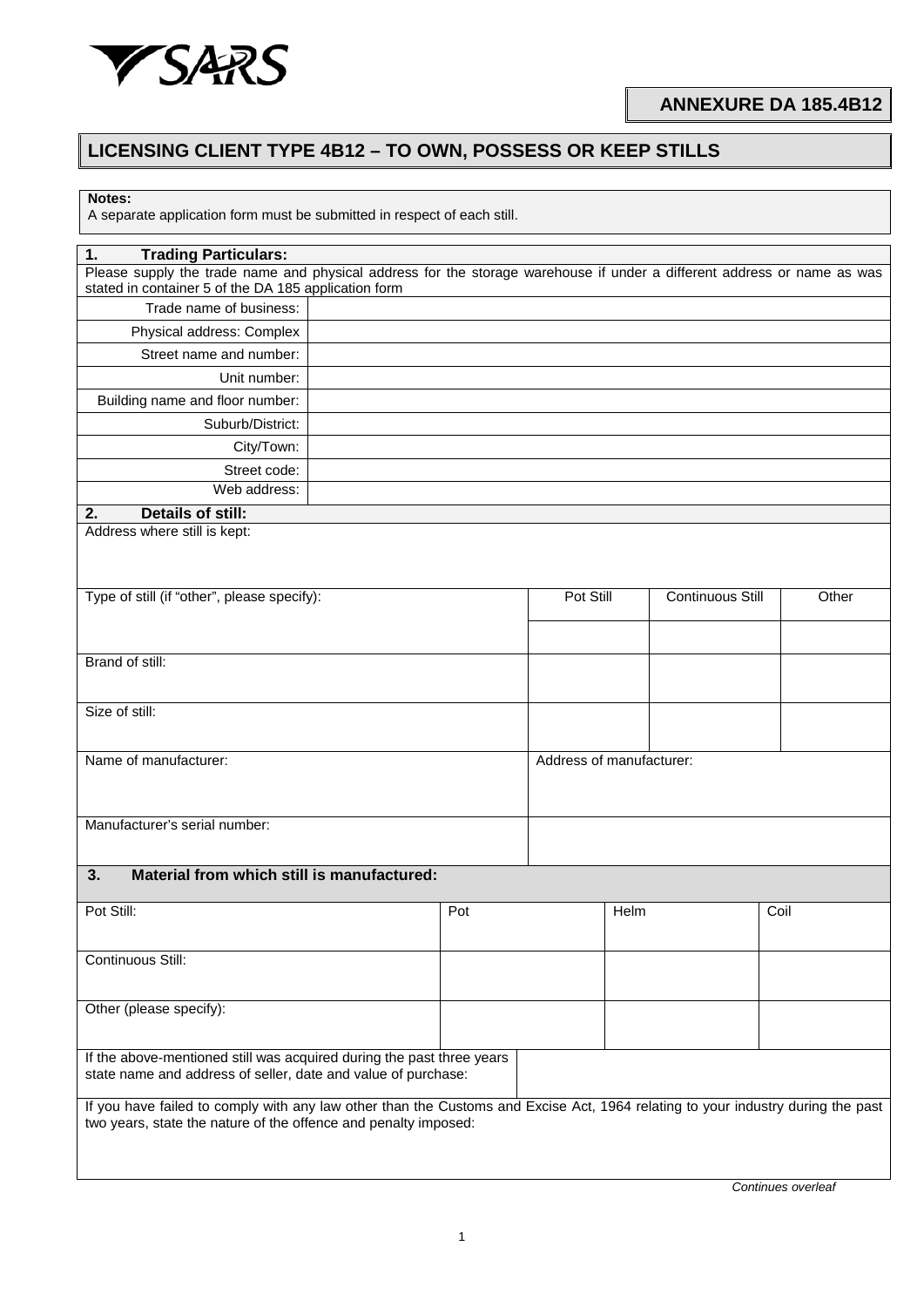

## **LICENSING CLIENT TYPE 4B12 – TO OWN, POSSESS OR KEEP STILLS**

A separate application form must be submitted in respect of each still.

| <b>Trading Particulars:</b><br>Please supply the trade name and physical address for the storage warehouse if under a different address or name as was<br>stated in container 5 of the DA 185 application form<br>Trade name of business:<br>Physical address: Complex<br>Street name and number:<br>Unit number: |       |  |  |
|-------------------------------------------------------------------------------------------------------------------------------------------------------------------------------------------------------------------------------------------------------------------------------------------------------------------|-------|--|--|
|                                                                                                                                                                                                                                                                                                                   |       |  |  |
|                                                                                                                                                                                                                                                                                                                   |       |  |  |
|                                                                                                                                                                                                                                                                                                                   |       |  |  |
|                                                                                                                                                                                                                                                                                                                   |       |  |  |
|                                                                                                                                                                                                                                                                                                                   |       |  |  |
| Building name and floor number:                                                                                                                                                                                                                                                                                   |       |  |  |
| Suburb/District:                                                                                                                                                                                                                                                                                                  |       |  |  |
| City/Town:                                                                                                                                                                                                                                                                                                        |       |  |  |
| Street code:                                                                                                                                                                                                                                                                                                      |       |  |  |
| Web address:                                                                                                                                                                                                                                                                                                      |       |  |  |
| <b>Details of still:</b><br>2.                                                                                                                                                                                                                                                                                    |       |  |  |
| Address where still is kept:                                                                                                                                                                                                                                                                                      |       |  |  |
|                                                                                                                                                                                                                                                                                                                   |       |  |  |
|                                                                                                                                                                                                                                                                                                                   |       |  |  |
| Type of still (if "other", please specify):<br>Pot Still<br><b>Continuous Still</b>                                                                                                                                                                                                                               | Other |  |  |
|                                                                                                                                                                                                                                                                                                                   |       |  |  |
|                                                                                                                                                                                                                                                                                                                   |       |  |  |
| Brand of still:                                                                                                                                                                                                                                                                                                   |       |  |  |
|                                                                                                                                                                                                                                                                                                                   |       |  |  |
| Size of still:                                                                                                                                                                                                                                                                                                    |       |  |  |
|                                                                                                                                                                                                                                                                                                                   |       |  |  |
| Name of manufacturer:<br>Address of manufacturer:                                                                                                                                                                                                                                                                 |       |  |  |
|                                                                                                                                                                                                                                                                                                                   |       |  |  |
|                                                                                                                                                                                                                                                                                                                   |       |  |  |
| Manufacturer's serial number:                                                                                                                                                                                                                                                                                     |       |  |  |
|                                                                                                                                                                                                                                                                                                                   |       |  |  |
| Material from which still is manufactured:<br>3.                                                                                                                                                                                                                                                                  |       |  |  |
| Pot Still:<br>Pot<br>Helm<br>Coil                                                                                                                                                                                                                                                                                 |       |  |  |
|                                                                                                                                                                                                                                                                                                                   |       |  |  |
| Continuous Still:                                                                                                                                                                                                                                                                                                 |       |  |  |
|                                                                                                                                                                                                                                                                                                                   |       |  |  |
|                                                                                                                                                                                                                                                                                                                   |       |  |  |
| Other (please specify):                                                                                                                                                                                                                                                                                           |       |  |  |
|                                                                                                                                                                                                                                                                                                                   |       |  |  |
| If the above-mentioned still was acquired during the past three years<br>state name and address of seller, date and value of purchase:                                                                                                                                                                            |       |  |  |
|                                                                                                                                                                                                                                                                                                                   |       |  |  |
| If you have failed to comply with any law other than the Customs and Excise Act, 1964 relating to your industry during the past                                                                                                                                                                                   |       |  |  |
| two years, state the nature of the offence and penalty imposed:                                                                                                                                                                                                                                                   |       |  |  |
|                                                                                                                                                                                                                                                                                                                   |       |  |  |